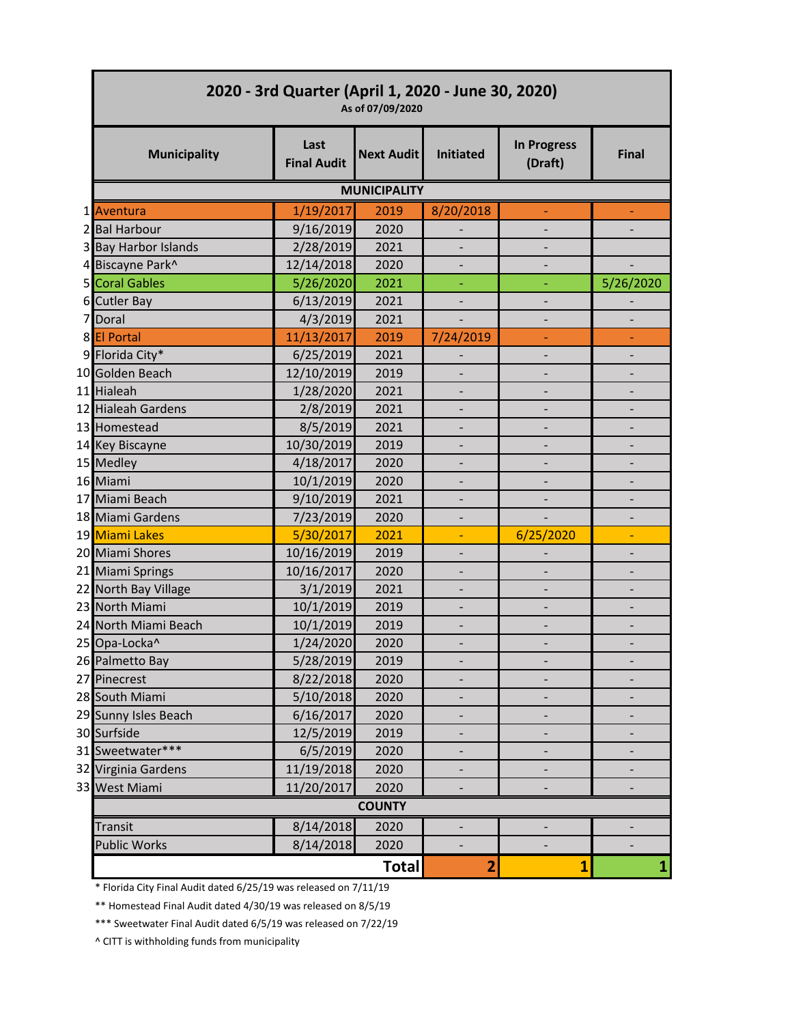| 2020 - 3rd Quarter (April 1, 2020 - June 30, 2020)<br>As of 07/09/2020 |                            |                   |                              |                               |              |  |
|------------------------------------------------------------------------|----------------------------|-------------------|------------------------------|-------------------------------|--------------|--|
| <b>Municipality</b>                                                    | Last<br><b>Final Audit</b> | <b>Next Audit</b> | <b>Initiated</b>             | <b>In Progress</b><br>(Draft) | <b>Final</b> |  |
| <b>MUNICIPALITY</b>                                                    |                            |                   |                              |                               |              |  |
| 1 Aventura                                                             | 1/19/2017                  | 2019              | 8/20/2018                    |                               |              |  |
| 2 Bal Harbour                                                          | 9/16/2019                  | 2020              | $\overline{\phantom{0}}$     |                               |              |  |
| 3 Bay Harbor Islands                                                   | 2/28/2019                  | 2021              |                              |                               |              |  |
| 4 Biscayne Park^                                                       | 12/14/2018                 | 2020              |                              |                               |              |  |
| 5 Coral Gables                                                         | 5/26/2020                  | 2021              | Ξ                            | ÷,                            | 5/26/2020    |  |
| 6 Cutler Bay                                                           | 6/13/2019                  | 2021              |                              |                               |              |  |
| 7 Doral                                                                | 4/3/2019                   | 2021              |                              |                               |              |  |
| 8 El Portal                                                            | 11/13/2017                 | 2019              | 7/24/2019                    |                               |              |  |
| 9 Florida City*                                                        | 6/25/2019                  | 2021              |                              |                               |              |  |
| 10 Golden Beach                                                        | 12/10/2019                 | 2019              |                              |                               |              |  |
| 11 Hialeah                                                             | 1/28/2020                  | 2021              | $\overline{\phantom{0}}$     |                               |              |  |
| 12 Hialeah Gardens                                                     | 2/8/2019                   | 2021              |                              |                               |              |  |
| 13 Homestead                                                           | 8/5/2019                   | 2021              |                              |                               |              |  |
| 14 Key Biscayne                                                        | 10/30/2019                 | 2019              | $\qquad \qquad \blacksquare$ |                               |              |  |
| 15 Medley                                                              | 4/18/2017                  | 2020              |                              |                               |              |  |
| 16 Miami                                                               | 10/1/2019                  | 2020              |                              |                               |              |  |
| 17 Miami Beach                                                         | 9/10/2019                  | 2021              |                              |                               |              |  |
| 18 Miami Gardens                                                       | 7/23/2019                  | 2020              | $\overline{\phantom{a}}$     |                               |              |  |
| 19 Miami Lakes                                                         | 5/30/2017                  | 2021              |                              | 6/25/2020                     |              |  |
| 20 Miami Shores                                                        | 10/16/2019                 | 2019              | $\qquad \qquad \blacksquare$ |                               |              |  |
| 21 Miami Springs                                                       | 10/16/2017                 | 2020              | $\overline{\phantom{a}}$     |                               |              |  |
| 22 North Bay Village                                                   | 3/1/2019                   | 2021              |                              |                               |              |  |
| 23 North Miami                                                         | 10/1/2019                  | 2019              |                              |                               |              |  |
| 24 North Miami Beach                                                   | 10/1/2019                  | 2019              |                              |                               |              |  |
| 25 Opa-Locka^                                                          | 1/24/2020                  | 2020              |                              |                               |              |  |
| 26 Palmetto Bay                                                        | 5/28/2019                  | 2019              |                              |                               |              |  |
| 27 Pinecrest                                                           | 8/22/2018                  | 2020              |                              |                               |              |  |
| 28 South Miami                                                         | 5/10/2018                  | 2020              |                              |                               |              |  |
| 29 Sunny Isles Beach                                                   | 6/16/2017                  | 2020              |                              |                               |              |  |
| 30 Surfside                                                            | 12/5/2019                  | 2019              | $\qquad \qquad \blacksquare$ | -                             |              |  |
| 31 Sweetwater***                                                       | 6/5/2019                   | 2020              |                              |                               |              |  |
| 32 Virginia Gardens                                                    | 11/19/2018                 | 2020              |                              |                               |              |  |
| 33 West Miami                                                          | 11/20/2017                 | 2020              |                              |                               |              |  |
| <b>COUNTY</b>                                                          |                            |                   |                              |                               |              |  |
| Transit                                                                | 8/14/2018                  | 2020              | $\qquad \qquad \blacksquare$ |                               |              |  |
| <b>Public Works</b>                                                    | 8/14/2018                  | 2020              |                              |                               |              |  |
|                                                                        |                            | <b>Total</b>      | 2                            | $\mathbf{1}$                  | 1            |  |

\* Florida City Final Audit dated 6/25/19 was released on 7/11/19

\*\* Homestead Final Audit dated 4/30/19 was released on 8/5/19

\*\*\* Sweetwater Final Audit dated 6/5/19 was released on 7/22/19

^ CITT is withholding funds from municipality